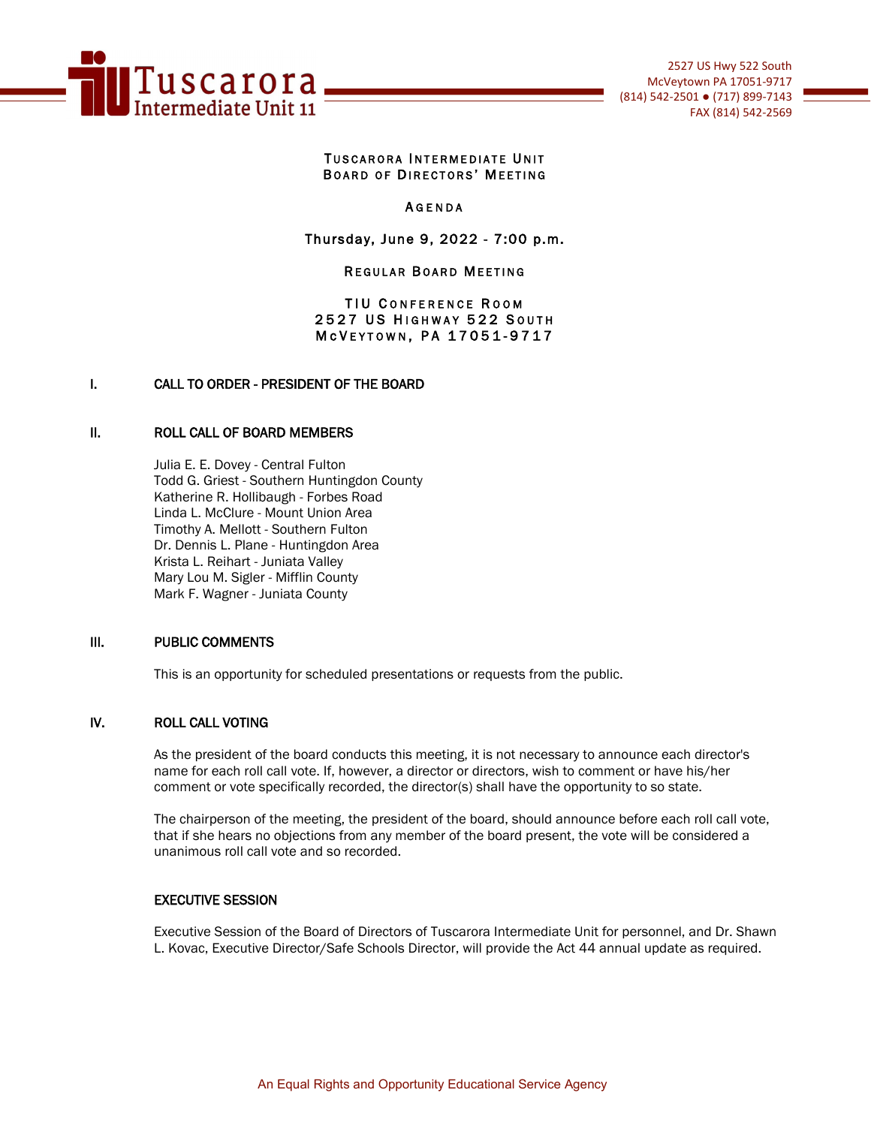

#### **TUSCARORA INTERMEDIATE UNIT** BOARD OF DIRECTORS' MEETING

#### **AGENDA**

# Thursday, June 9, 2022 - 7:00 p.m.

### **REGULAR BOARD MEETING**

### TIU CONFERENCE ROOM 2527 US HIGHWAY 522 SOUTH M c V E Y T O W N, P A 17051-9717

## I. CALL TO ORDER - PRESIDENT OF THE BOARD

#### II. ROLL CALL OF BOARD MEMBERS

Julia E. E. Dovey - Central Fulton Todd G. Griest - Southern Huntingdon County Katherine R. Hollibaugh - Forbes Road Linda L. McClure - Mount Union Area Timothy A. Mellott - Southern Fulton Dr. Dennis L. Plane - Huntingdon Area Krista L. Reihart - Juniata Valley Mary Lou M. Sigler - Mifflin County Mark F. Wagner - Juniata County

#### III. PUBLIC COMMENTS

This is an opportunity for scheduled presentations or requests from the public.

#### IV. ROLL CALL VOTING

As the president of the board conducts this meeting, it is not necessary to announce each director's name for each roll call vote. If, however, a director or directors, wish to comment or have his/her comment or vote specifically recorded, the director(s) shall have the opportunity to so state.

The chairperson of the meeting, the president of the board, should announce before each roll call vote, that if she hears no objections from any member of the board present, the vote will be considered a unanimous roll call vote and so recorded.

#### EXECUTIVE SESSION

Executive Session of the Board of Directors of Tuscarora Intermediate Unit for personnel, and Dr. Shawn L. Kovac, Executive Director/Safe Schools Director, will provide the Act 44 annual update as required.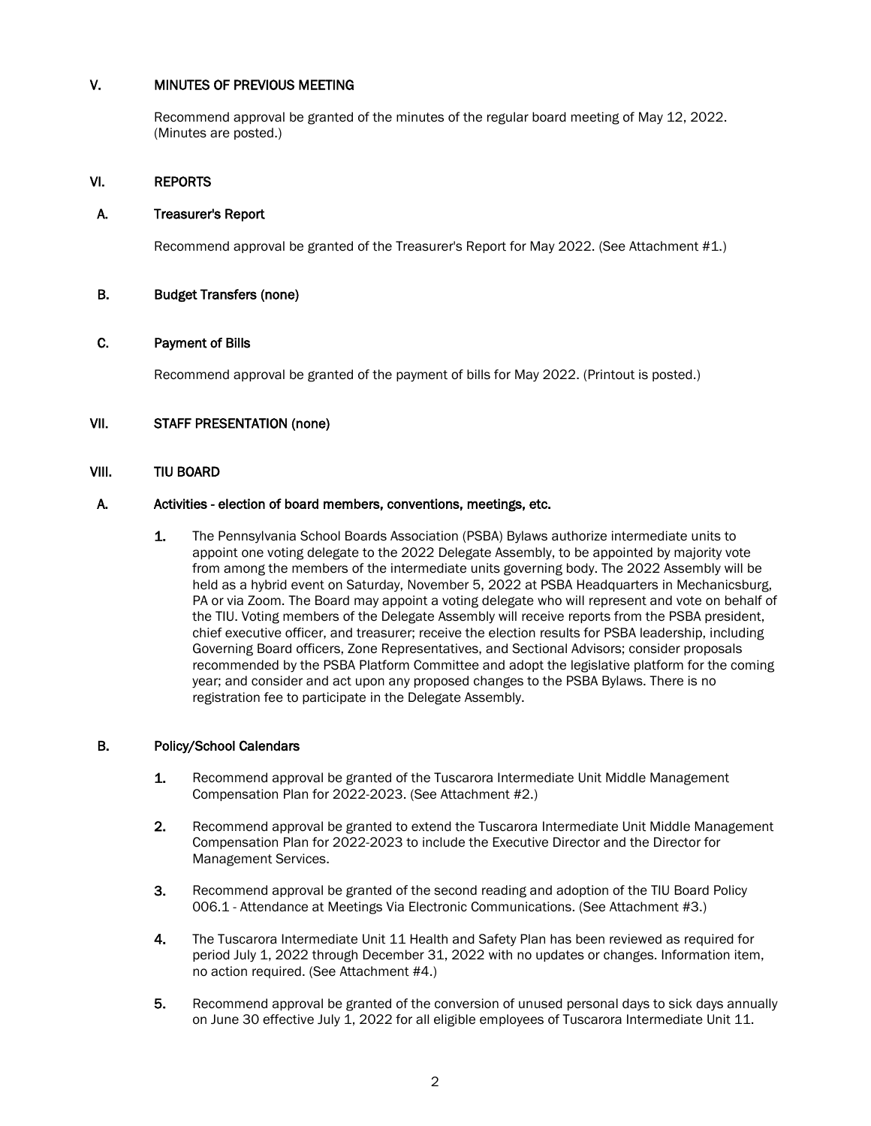# V. MINUTES OF PREVIOUS MEETING

Recommend approval be granted of the minutes of the regular board meeting of May 12, 2022. (Minutes are posted.)

# VI. REPORTS

### A. Treasurer's Report

Recommend approval be granted of the Treasurer's Report for May 2022. (See Attachment #1.)

### B. Budget Transfers (none)

### C. Payment of Bills

Recommend approval be granted of the payment of bills for May 2022. (Printout is posted.)

### VII. STAFF PRESENTATION (none)

## VIII. TIU BOARD

### A. Activities - election of board members, conventions, meetings, etc.

1. The Pennsylvania School Boards Association (PSBA) Bylaws authorize intermediate units to appoint one voting delegate to the 2022 Delegate Assembly, to be appointed by majority vote from among the members of the intermediate units governing body. The 2022 Assembly will be held as a hybrid event on Saturday, November 5, 2022 at PSBA Headquarters in Mechanicsburg, PA or via Zoom. The Board may appoint a voting delegate who will represent and vote on behalf of the TIU. Voting members of the Delegate Assembly will receive reports from the PSBA president, chief executive officer, and treasurer; receive the election results for PSBA leadership, including Governing Board officers, Zone Representatives, and Sectional Advisors; consider proposals recommended by the PSBA Platform Committee and adopt the legislative platform for the coming year; and consider and act upon any proposed changes to the PSBA Bylaws. There is no registration fee to participate in the Delegate Assembly.

### B. Policy/School Calendars

- **1.** Recommend approval be granted of the Tuscarora Intermediate Unit Middle Management Compensation Plan for 2022-2023. (See Attachment #2.)
- 2. Recommend approval be granted to extend the Tuscarora Intermediate Unit Middle Management Compensation Plan for 2022-2023 to include the Executive Director and the Director for Management Services.
- 3. Recommend approval be granted of the second reading and adoption of the TIU Board Policy 006.1 - Attendance at Meetings Via Electronic Communications. (See Attachment #3.)
- 4. The Tuscarora Intermediate Unit 11 Health and Safety Plan has been reviewed as required for period July 1, 2022 through December 31, 2022 with no updates or changes. Information item, no action required. (See Attachment #4.)
- 5. Recommend approval be granted of the conversion of unused personal days to sick days annually on June 30 effective July 1, 2022 for all eligible employees of Tuscarora Intermediate Unit 11.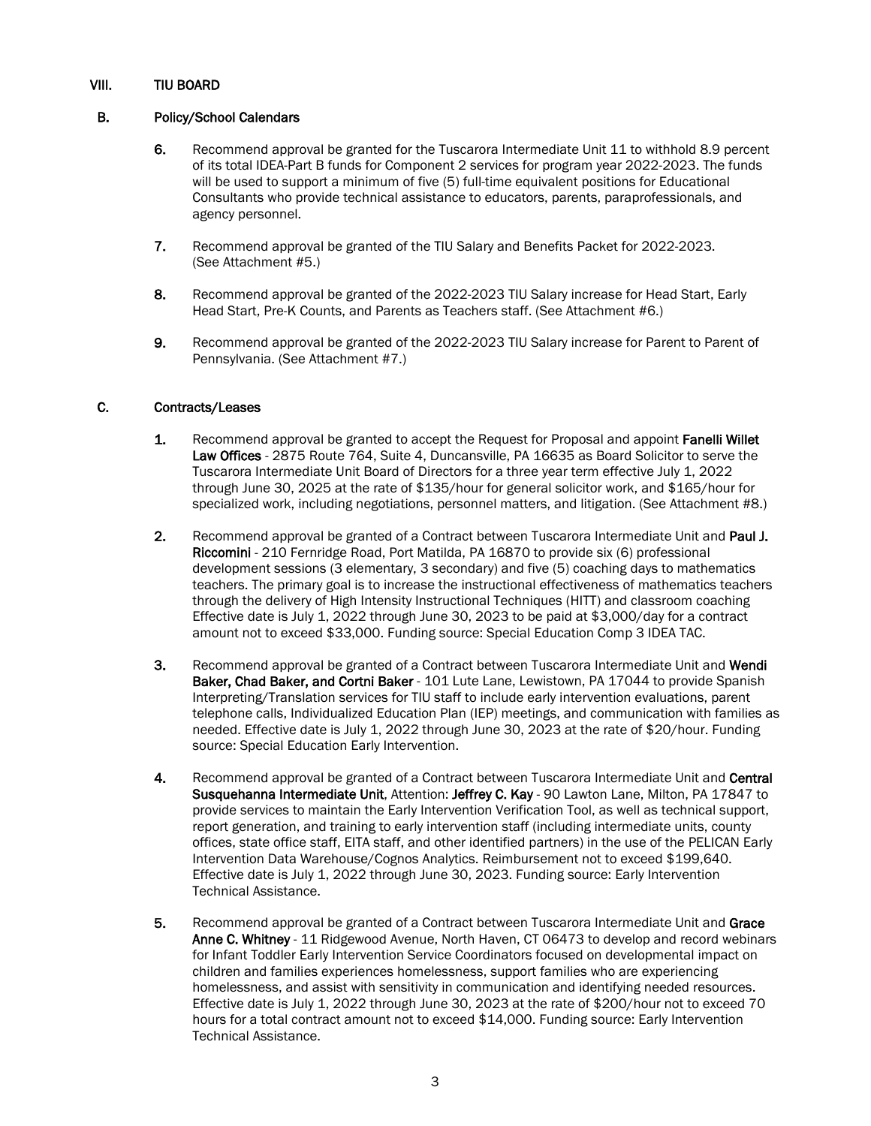# VIII. TIU BOARD

# B. Policy/School Calendars

- 6. Recommend approval be granted for the Tuscarora Intermediate Unit 11 to withhold 8.9 percent of its total IDEA-Part B funds for Component 2 services for program year 2022-2023. The funds will be used to support a minimum of five (5) full-time equivalent positions for Educational Consultants who provide technical assistance to educators, parents, paraprofessionals, and agency personnel.
- 7. Recommend approval be granted of the TIU Salary and Benefits Packet for 2022-2023. (See Attachment #5.)
- 8. Recommend approval be granted of the 2022-2023 TIU Salary increase for Head Start, Early Head Start, Pre-K Counts, and Parents as Teachers staff. (See Attachment #6.)
- 9. Recommend approval be granted of the 2022-2023 TIU Salary increase for Parent to Parent of Pennsylvania. (See Attachment #7.)

# C. Contracts/Leases

- 1. Recommend approval be granted to accept the Request for Proposal and appoint **Fanelli Willet** Law Offices - 2875 Route 764, Suite 4, Duncansville, PA 16635 as Board Solicitor to serve the Tuscarora Intermediate Unit Board of Directors for a three year term effective July 1, 2022 through June 30, 2025 at the rate of \$135/hour for general solicitor work, and \$165/hour for specialized work, including negotiations, personnel matters, and litigation. (See Attachment #8.)
- 2. Recommend approval be granted of a Contract between Tuscarora Intermediate Unit and Paul J. Riccomini - 210 Fernridge Road, Port Matilda, PA 16870 to provide six (6) professional development sessions (3 elementary, 3 secondary) and five (5) coaching days to mathematics teachers. The primary goal is to increase the instructional effectiveness of mathematics teachers through the delivery of High Intensity Instructional Techniques (HITT) and classroom coaching Effective date is July 1, 2022 through June 30, 2023 to be paid at \$3,000/day for a contract amount not to exceed \$33,000. Funding source: Special Education Comp 3 IDEA TAC.
- 3. Recommend approval be granted of a Contract between Tuscarora Intermediate Unit and Wendi Baker, Chad Baker, and Cortni Baker - 101 Lute Lane, Lewistown, PA 17044 to provide Spanish Interpreting/Translation services for TIU staff to include early intervention evaluations, parent telephone calls, Individualized Education Plan (IEP) meetings, and communication with families as needed. Effective date is July 1, 2022 through June 30, 2023 at the rate of \$20/hour. Funding source: Special Education Early Intervention.
- 4. Recommend approval be granted of a Contract between Tuscarora Intermediate Unit and Central Susquehanna Intermediate Unit, Attention: Jeffrey C. Kay - 90 Lawton Lane, Milton, PA 17847 to provide services to maintain the Early Intervention Verification Tool, as well as technical support, report generation, and training to early intervention staff (including intermediate units, county offices, state office staff, EITA staff, and other identified partners) in the use of the PELICAN Early Intervention Data Warehouse/Cognos Analytics. Reimbursement not to exceed \$199,640. Effective date is July 1, 2022 through June 30, 2023. Funding source: Early Intervention Technical Assistance.
- 5. Recommend approval be granted of a Contract between Tuscarora Intermediate Unit and Grace Anne C. Whitney - 11 Ridgewood Avenue, North Haven, CT 06473 to develop and record webinars for Infant Toddler Early Intervention Service Coordinators focused on developmental impact on children and families experiences homelessness, support families who are experiencing homelessness, and assist with sensitivity in communication and identifying needed resources. Effective date is July 1, 2022 through June 30, 2023 at the rate of \$200/hour not to exceed 70 hours for a total contract amount not to exceed \$14,000. Funding source: Early Intervention Technical Assistance.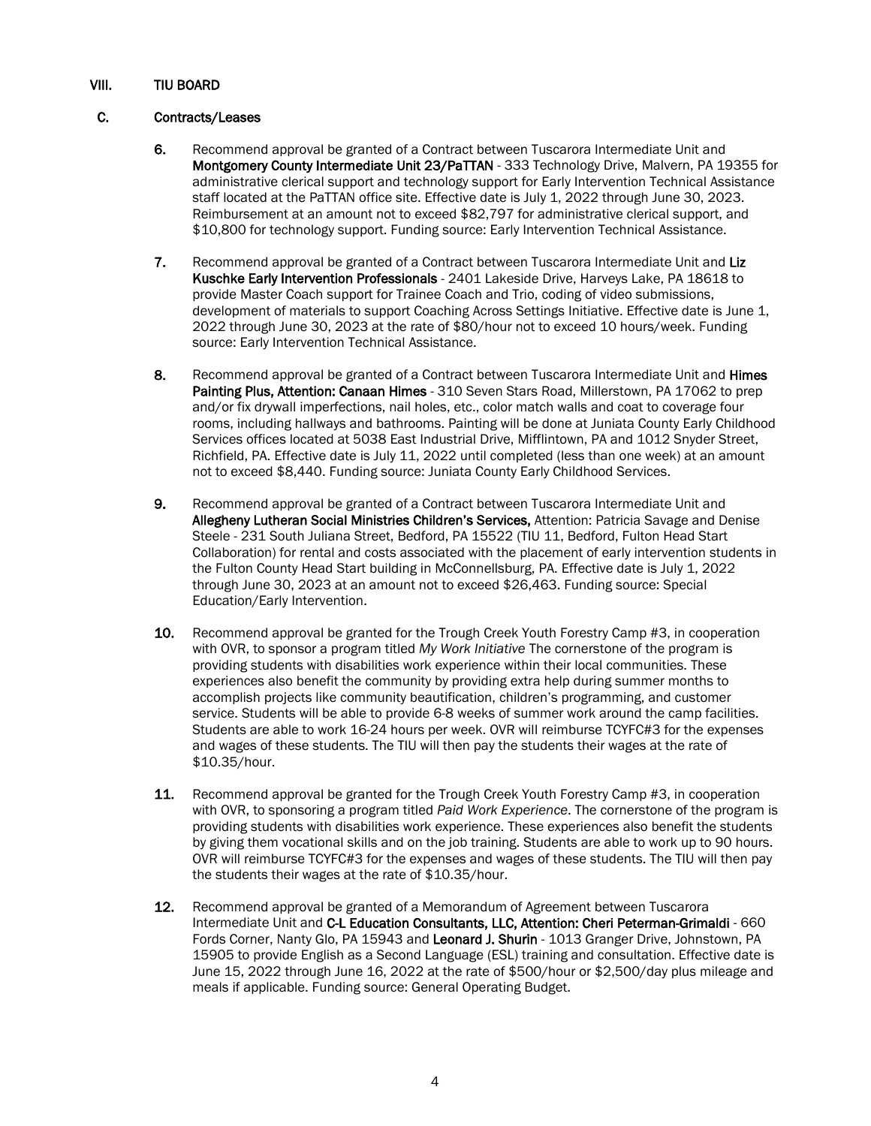# VIII. TIU BOARD

# C. Contracts/Leases

- 6. Recommend approval be granted of a Contract between Tuscarora Intermediate Unit and Montgomery County Intermediate Unit 23/PaTTAN - 333 Technology Drive, Malvern, PA 19355 for administrative clerical support and technology support for Early Intervention Technical Assistance staff located at the PaTTAN office site. Effective date is July 1, 2022 through June 30, 2023. Reimbursement at an amount not to exceed \$82,797 for administrative clerical support, and \$10,800 for technology support. Funding source: Early Intervention Technical Assistance.
- 7. Recommend approval be granted of a Contract between Tuscarora Intermediate Unit and Liz Kuschke Early Intervention Professionals - 2401 Lakeside Drive, Harveys Lake, PA 18618 to provide Master Coach support for Trainee Coach and Trio, coding of video submissions, development of materials to support Coaching Across Settings Initiative. Effective date is June 1, 2022 through June 30, 2023 at the rate of \$80/hour not to exceed 10 hours/week. Funding source: Early Intervention Technical Assistance.
- 8. Recommend approval be granted of a Contract between Tuscarora Intermediate Unit and Himes Painting Plus, Attention: Canaan Himes - 310 Seven Stars Road, Millerstown, PA 17062 to prep and/or fix drywall imperfections, nail holes, etc., color match walls and coat to coverage four rooms, including hallways and bathrooms. Painting will be done at Juniata County Early Childhood Services offices located at 5038 East Industrial Drive, Mifflintown, PA and 1012 Snyder Street, Richfield, PA. Effective date is July 11, 2022 until completed (less than one week) at an amount not to exceed \$8,440. Funding source: Juniata County Early Childhood Services.
- 9. Recommend approval be granted of a Contract between Tuscarora Intermediate Unit and Allegheny Lutheran Social Ministries Children's Services, Attention: Patricia Savage and Denise Steele - 231 South Juliana Street, Bedford, PA 15522 (TIU 11, Bedford, Fulton Head Start Collaboration) for rental and costs associated with the placement of early intervention students in the Fulton County Head Start building in McConnellsburg, PA. Effective date is July 1, 2022 through June 30, 2023 at an amount not to exceed \$26,463. Funding source: Special Education/Early Intervention.
- 10. Recommend approval be granted for the Trough Creek Youth Forestry Camp #3, in cooperation with OVR, to sponsor a program titled *My Work Initiative* The cornerstone of the program is providing students with disabilities work experience within their local communities. These experiences also benefit the community by providing extra help during summer months to accomplish projects like community beautification, children's programming, and customer service. Students will be able to provide 6-8 weeks of summer work around the camp facilities. Students are able to work 16-24 hours per week. OVR will reimburse TCYFC#3 for the expenses and wages of these students. The TIU will then pay the students their wages at the rate of \$10.35/hour.
- 11. Recommend approval be granted for the Trough Creek Youth Forestry Camp #3, in cooperation with OVR, to sponsoring a program titled *Paid Work Experience*. The cornerstone of the program is providing students with disabilities work experience. These experiences also benefit the students by giving them vocational skills and on the job training. Students are able to work up to 90 hours. OVR will reimburse TCYFC#3 for the expenses and wages of these students. The TIU will then pay the students their wages at the rate of \$10.35/hour.
- 12. Recommend approval be granted of a Memorandum of Agreement between Tuscarora Intermediate Unit and C-L Education Consultants, LLC, Attention: Cheri Peterman-Grimaldi - 660 Fords Corner, Nanty Glo, PA 15943 and Leonard J. Shurin - 1013 Granger Drive, Johnstown, PA 15905 to provide English as a Second Language (ESL) training and consultation. Effective date is June 15, 2022 through June 16, 2022 at the rate of \$500/hour or \$2,500/day plus mileage and meals if applicable. Funding source: General Operating Budget.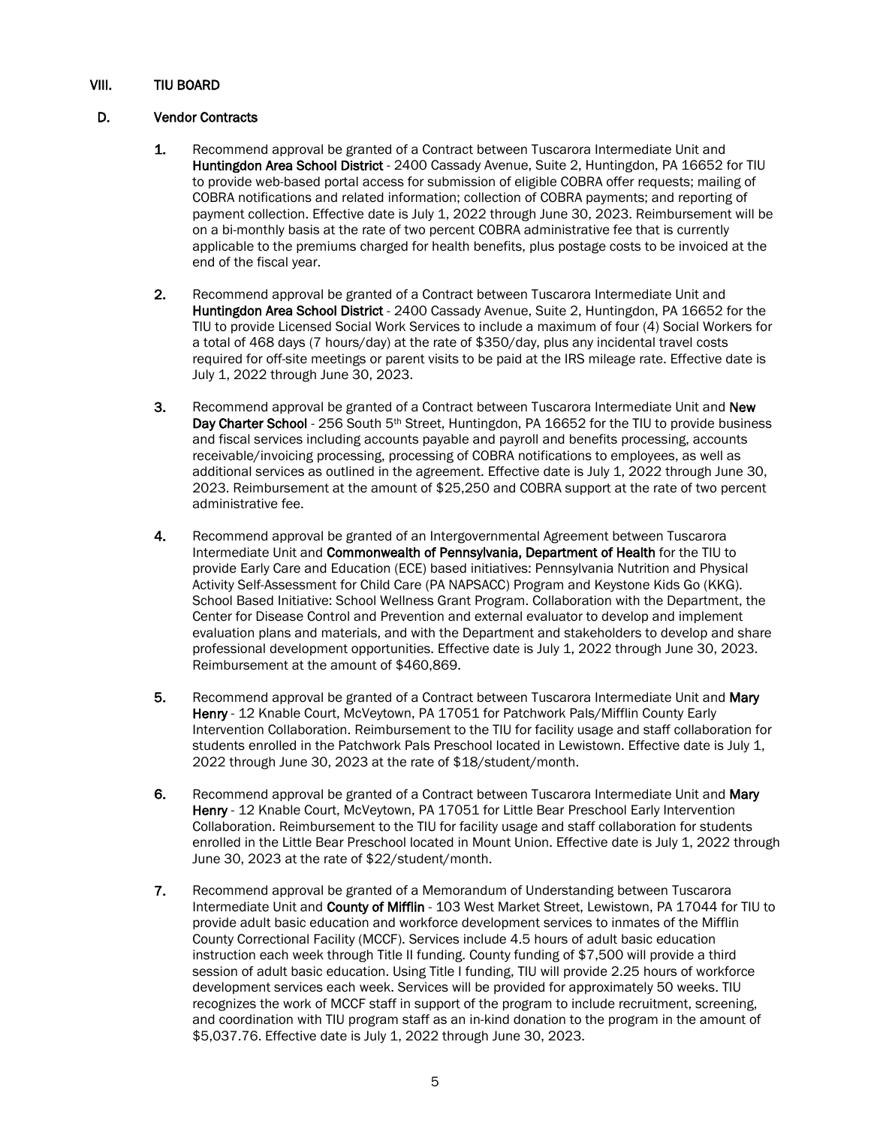# VIII. TIU BOARD

# D. Vendor Contracts

- 1. Recommend approval be granted of a Contract between Tuscarora Intermediate Unit and Huntingdon Area School District - 2400 Cassady Avenue, Suite 2, Huntingdon, PA 16652 for TIU to provide web-based portal access for submission of eligible COBRA offer requests; mailing of COBRA notifications and related information; collection of COBRA payments; and reporting of payment collection. Effective date is July 1, 2022 through June 30, 2023. Reimbursement will be on a bi-monthly basis at the rate of two percent COBRA administrative fee that is currently applicable to the premiums charged for health benefits, plus postage costs to be invoiced at the end of the fiscal year.
- 2. Recommend approval be granted of a Contract between Tuscarora Intermediate Unit and Huntingdon Area School District - 2400 Cassady Avenue, Suite 2, Huntingdon, PA 16652 for the TIU to provide Licensed Social Work Services to include a maximum of four (4) Social Workers for a total of 468 days (7 hours/day) at the rate of \$350/day, plus any incidental travel costs required for off-site meetings or parent visits to be paid at the IRS mileage rate. Effective date is July 1, 2022 through June 30, 2023.
- 3. Recommend approval be granted of a Contract between Tuscarora Intermediate Unit and New Day Charter School - 256 South 5<sup>th</sup> Street, Huntingdon, PA 16652 for the TIU to provide business and fiscal services including accounts payable and payroll and benefits processing, accounts receivable/invoicing processing, processing of COBRA notifications to employees, as well as additional services as outlined in the agreement. Effective date is July 1, 2022 through June 30, 2023. Reimbursement at the amount of \$25,250 and COBRA support at the rate of two percent administrative fee.
- 4. Recommend approval be granted of an Intergovernmental Agreement between Tuscarora Intermediate Unit and Commonwealth of Pennsylvania, Department of Health for the TIU to provide Early Care and Education (ECE) based initiatives: Pennsylvania Nutrition and Physical Activity Self-Assessment for Child Care (PA NAPSACC) Program and Keystone Kids Go (KKG). School Based Initiative: School Wellness Grant Program. Collaboration with the Department, the Center for Disease Control and Prevention and external evaluator to develop and implement evaluation plans and materials, and with the Department and stakeholders to develop and share professional development opportunities. Effective date is July 1, 2022 through June 30, 2023. Reimbursement at the amount of \$460,869.
- 5. Recommend approval be granted of a Contract between Tuscarora Intermediate Unit and Mary Henry - 12 Knable Court, McVeytown, PA 17051 for Patchwork Pals/Mifflin County Early Intervention Collaboration. Reimbursement to the TIU for facility usage and staff collaboration for students enrolled in the Patchwork Pals Preschool located in Lewistown. Effective date is July 1, 2022 through June 30, 2023 at the rate of \$18/student/month.
- 6. Recommend approval be granted of a Contract between Tuscarora Intermediate Unit and Mary Henry - 12 Knable Court, McVeytown, PA 17051 for Little Bear Preschool Early Intervention Collaboration. Reimbursement to the TIU for facility usage and staff collaboration for students enrolled in the Little Bear Preschool located in Mount Union. Effective date is July 1, 2022 through June 30, 2023 at the rate of \$22/student/month.
- 7. Recommend approval be granted of a Memorandum of Understanding between Tuscarora Intermediate Unit and County of Mifflin - 103 West Market Street, Lewistown, PA 17044 for TIU to provide adult basic education and workforce development services to inmates of the Mifflin County Correctional Facility (MCCF). Services include 4.5 hours of adult basic education instruction each week through Title II funding. County funding of \$7,500 will provide a third session of adult basic education. Using Title I funding, TIU will provide 2.25 hours of workforce development services each week. Services will be provided for approximately 50 weeks. TIU recognizes the work of MCCF staff in support of the program to include recruitment, screening, and coordination with TIU program staff as an in-kind donation to the program in the amount of \$5,037.76. Effective date is July 1, 2022 through June 30, 2023.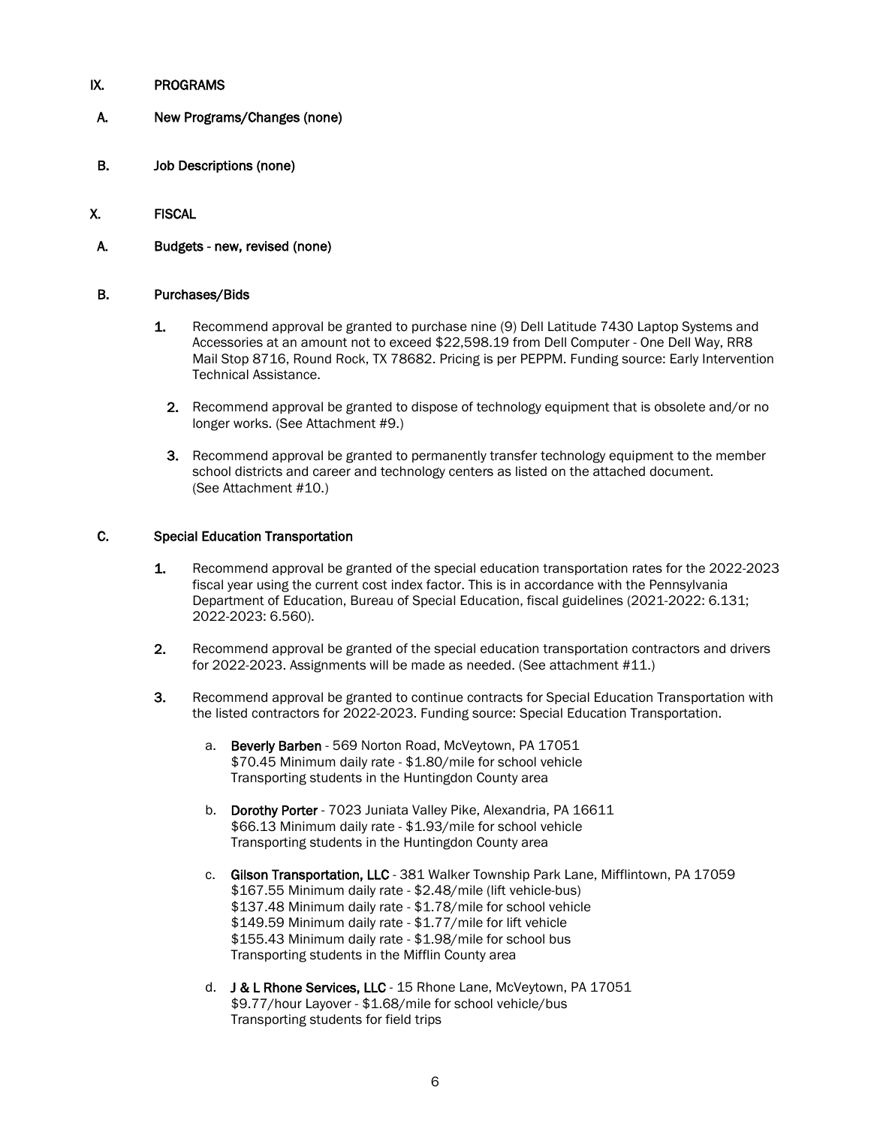# IX. PROGRAMS

- A. New Programs/Changes (none)
- B. Job Descriptions (none)
- X. FISCAL
- A. Budgets new, revised (none)

### B. Purchases/Bids

- 1. Recommend approval be granted to purchase nine (9) Dell Latitude 7430 Laptop Systems and Accessories at an amount not to exceed \$22,598.19 from Dell Computer - One Dell Way, RR8 Mail Stop 8716, Round Rock, TX 78682. Pricing is per PEPPM. Funding source: Early Intervention Technical Assistance.
	- 2. Recommend approval be granted to dispose of technology equipment that is obsolete and/or no longer works. (See Attachment #9.)
	- 3. Recommend approval be granted to permanently transfer technology equipment to the member school districts and career and technology centers as listed on the attached document. (See Attachment #10.)

### C. Special Education Transportation

- 1. Recommend approval be granted of the special education transportation rates for the 2022-2023 fiscal year using the current cost index factor. This is in accordance with the Pennsylvania Department of Education, Bureau of Special Education, fiscal guidelines (2021-2022: 6.131; 2022-2023: 6.560).
- 2. Recommend approval be granted of the special education transportation contractors and drivers for 2022-2023. Assignments will be made as needed. (See attachment #11.)
- 3. Recommend approval be granted to continue contracts for Special Education Transportation with the listed contractors for 2022-2023. Funding source: Special Education Transportation.
	- a. Beverly Barben 569 Norton Road, McVeytown, PA 17051 \$70.45 Minimum daily rate - \$1.80/mile for school vehicle Transporting students in the Huntingdon County area
	- b. Dorothy Porter 7023 Juniata Valley Pike, Alexandria, PA 16611 \$66.13 Minimum daily rate - \$1.93/mile for school vehicle Transporting students in the Huntingdon County area
	- c. Gilson Transportation, LLC 381 Walker Township Park Lane, Mifflintown, PA 17059 \$167.55 Minimum daily rate - \$2.48/mile (lift vehicle-bus) \$137.48 Minimum daily rate - \$1.78/mile for school vehicle \$149.59 Minimum daily rate - \$1.77/mile for lift vehicle \$155.43 Minimum daily rate - \$1.98/mile for school bus Transporting students in the Mifflin County area
	- d. J & L Rhone Services, LLC 15 Rhone Lane, McVeytown, PA 17051 \$9.77/hour Layover - \$1.68/mile for school vehicle/bus Transporting students for field trips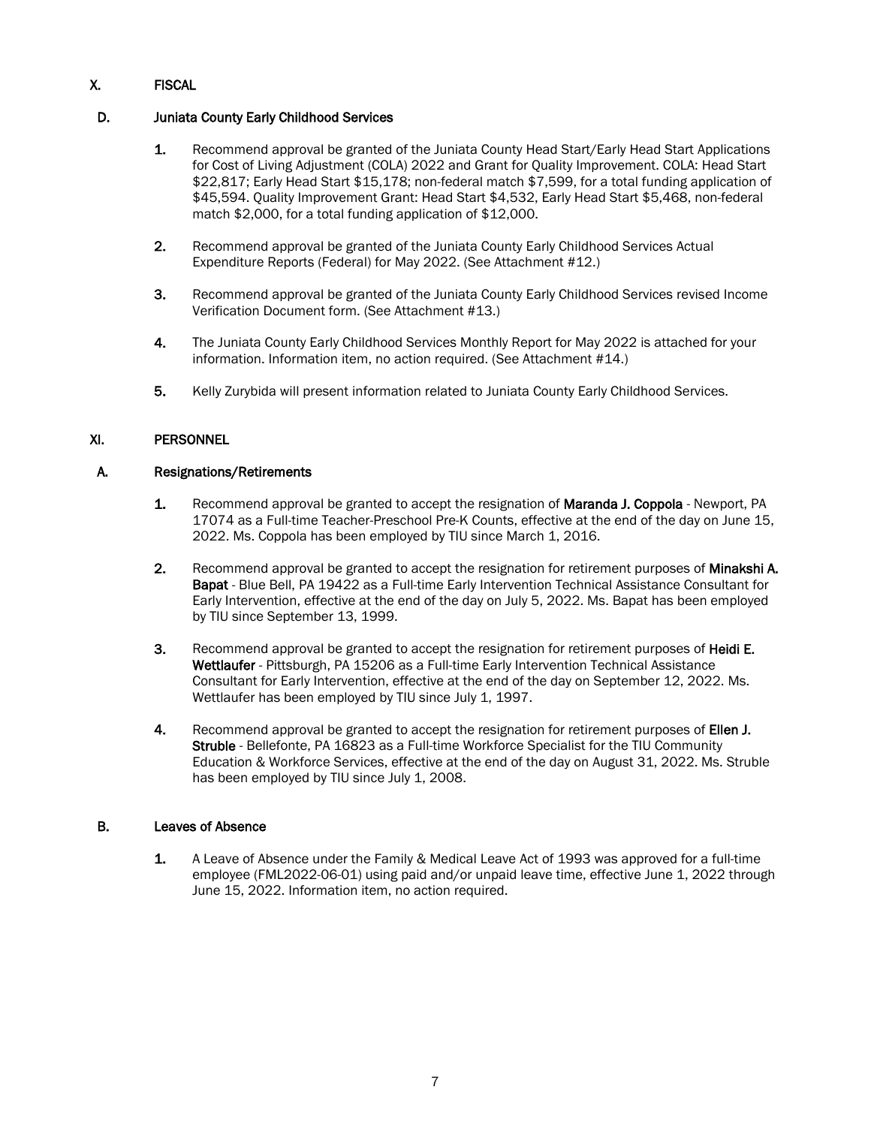# X. FISCAL

# D. Juniata County Early Childhood Services

- 1. Recommend approval be granted of the Juniata County Head Start/Early Head Start Applications for Cost of Living Adjustment (COLA) 2022 and Grant for Quality Improvement. COLA: Head Start \$22,817; Early Head Start \$15,178; non-federal match \$7,599, for a total funding application of \$45,594. Quality Improvement Grant: Head Start \$4,532, Early Head Start \$5,468, non-federal match \$2,000, for a total funding application of \$12,000.
- 2. Recommend approval be granted of the Juniata County Early Childhood Services Actual Expenditure Reports (Federal) for May 2022. (See Attachment #12.)
- 3. Recommend approval be granted of the Juniata County Early Childhood Services revised Income Verification Document form. (See Attachment #13.)
- 4. The Juniata County Early Childhood Services Monthly Report for May 2022 is attached for your information. Information item, no action required. (See Attachment #14.)
- 5. Kelly Zurybida will present information related to Juniata County Early Childhood Services.

# XI. PERSONNEL

# A. Resignations/Retirements

- 1. Recommend approval be granted to accept the resignation of **Maranda J. Coppola** Newport, PA 17074 as a Full-time Teacher-Preschool Pre-K Counts, effective at the end of the day on June 15, 2022. Ms. Coppola has been employed by TIU since March 1, 2016.
- 2. Recommend approval be granted to accept the resignation for retirement purposes of Minakshi A. Bapat - Blue Bell, PA 19422 as a Full-time Early Intervention Technical Assistance Consultant for Early Intervention, effective at the end of the day on July 5, 2022. Ms. Bapat has been employed by TIU since September 13, 1999.
- 3. Recommend approval be granted to accept the resignation for retirement purposes of Heidi E. Wettlaufer - Pittsburgh, PA 15206 as a Full-time Early Intervention Technical Assistance Consultant for Early Intervention, effective at the end of the day on September 12, 2022. Ms. Wettlaufer has been employed by TIU since July 1, 1997.
- 4. Recommend approval be granted to accept the resignation for retirement purposes of Ellen J. Struble - Bellefonte, PA 16823 as a Full-time Workforce Specialist for the TIU Community Education & Workforce Services, effective at the end of the day on August 31, 2022. Ms. Struble has been employed by TIU since July 1, 2008.

### B. Leaves of Absence

1. A Leave of Absence under the Family & Medical Leave Act of 1993 was approved for a full-time employee (FML2022-06-01) using paid and/or unpaid leave time, effective June 1, 2022 through June 15, 2022. Information item, no action required.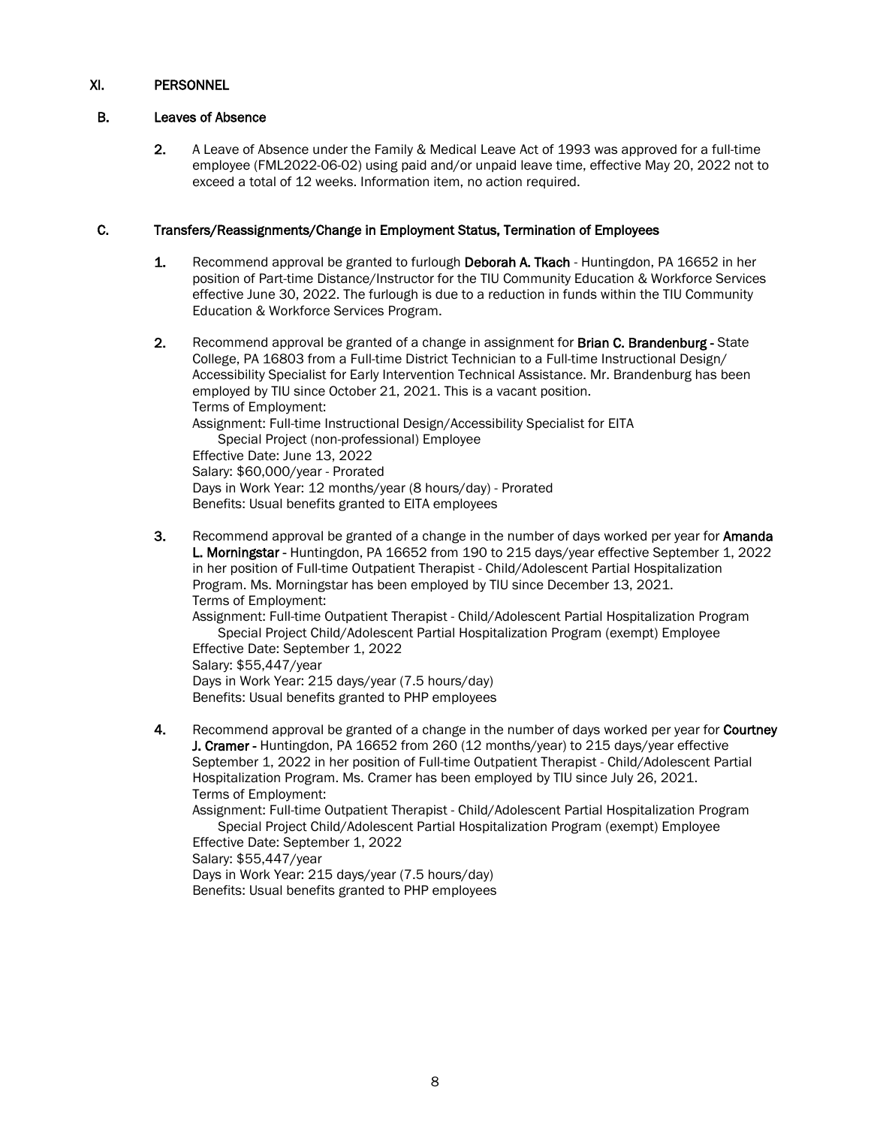# B. Leaves of Absence

2. A Leave of Absence under the Family & Medical Leave Act of 1993 was approved for a full-time employee (FML2022-06-02) using paid and/or unpaid leave time, effective May 20, 2022 not to exceed a total of 12 weeks. Information item, no action required.

# C. Transfers/Reassignments/Change in Employment Status, Termination of Employees

- 1. Recommend approval be granted to furlough Deborah A. Tkach Huntingdon, PA 16652 in her position of Part-time Distance/Instructor for the TIU Community Education & Workforce Services effective June 30, 2022. The furlough is due to a reduction in funds within the TIU Community Education & Workforce Services Program.
- 2. Recommend approval be granted of a change in assignment for Brian C. Brandenburg State College, PA 16803 from a Full-time District Technician to a Full-time Instructional Design/ Accessibility Specialist for Early Intervention Technical Assistance. Mr. Brandenburg has been employed by TIU since October 21, 2021. This is a vacant position. Terms of Employment: Assignment: Full-time Instructional Design/Accessibility Specialist for EITA Special Project (non-professional) Employee Effective Date: June 13, 2022 Salary: \$60,000/year - Prorated Days in Work Year: 12 months/year (8 hours/day) - Prorated Benefits: Usual benefits granted to EITA employees
- 3. Recommend approval be granted of a change in the number of days worked per year for **Amanda** L. Morningstar - Huntingdon, PA 16652 from 190 to 215 days/year effective September 1, 2022 in her position of Full-time Outpatient Therapist - Child/Adolescent Partial Hospitalization Program. Ms. Morningstar has been employed by TIU since December 13, 2021. Terms of Employment:

Assignment: Full-time Outpatient Therapist - Child/Adolescent Partial Hospitalization Program Special Project Child/Adolescent Partial Hospitalization Program (exempt) Employee Effective Date: September 1, 2022

Salary: \$55,447/year Days in Work Year: 215 days/year (7.5 hours/day) Benefits: Usual benefits granted to PHP employees

4. Recommend approval be granted of a change in the number of days worked per year for Courtney J. Cramer - Huntingdon, PA 16652 from 260 (12 months/year) to 215 days/year effective September 1, 2022 in her position of Full-time Outpatient Therapist - Child/Adolescent Partial Hospitalization Program. Ms. Cramer has been employed by TIU since July 26, 2021. Terms of Employment:

Assignment: Full-time Outpatient Therapist - Child/Adolescent Partial Hospitalization Program Special Project Child/Adolescent Partial Hospitalization Program (exempt) Employee

Effective Date: September 1, 2022 Salary: \$55,447/year Days in Work Year: 215 days/year (7.5 hours/day) Benefits: Usual benefits granted to PHP employees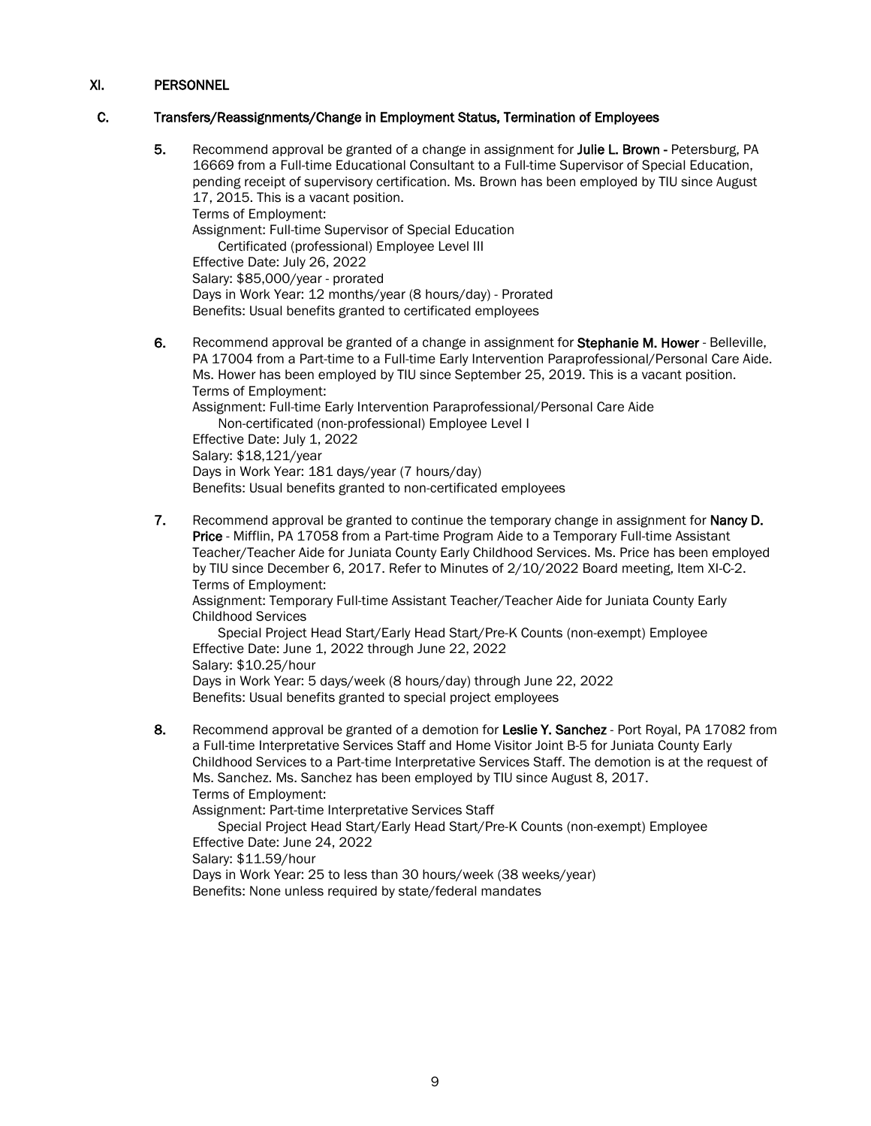# C. Transfers/Reassignments/Change in Employment Status, Termination of Employees

- 5. Recommend approval be granted of a change in assignment for Julie L. Brown Petersburg, PA 16669 from a Full-time Educational Consultant to a Full-time Supervisor of Special Education, pending receipt of supervisory certification. Ms. Brown has been employed by TIU since August 17, 2015. This is a vacant position. Terms of Employment: Assignment: Full-time Supervisor of Special Education Certificated (professional) Employee Level III Effective Date: July 26, 2022 Salary: \$85,000/year - prorated Days in Work Year: 12 months/year (8 hours/day) - Prorated Benefits: Usual benefits granted to certificated employees
- 6. Recommend approval be granted of a change in assignment for Stephanie M. Hower Belleville, PA 17004 from a Part-time to a Full-time Early Intervention Paraprofessional/Personal Care Aide. Ms. Hower has been employed by TIU since September 25, 2019. This is a vacant position. Terms of Employment: Assignment: Full-time Early Intervention Paraprofessional/Personal Care Aide Non-certificated (non-professional) Employee Level I Effective Date: July 1, 2022 Salary: \$18,121/year Days in Work Year: 181 days/year (7 hours/day) Benefits: Usual benefits granted to non-certificated employees
- 7. Recommend approval be granted to continue the temporary change in assignment for **Nancy D.** Price - Mifflin, PA 17058 from a Part-time Program Aide to a Temporary Full-time Assistant Teacher/Teacher Aide for Juniata County Early Childhood Services. Ms. Price has been employed by TIU since December 6, 2017. Refer to Minutes of 2/10/2022 Board meeting, Item XI-C-2. Terms of Employment:

Assignment: Temporary Full-time Assistant Teacher/Teacher Aide for Juniata County Early Childhood Services

Special Project Head Start/Early Head Start/Pre-K Counts (non-exempt) Employee Effective Date: June 1, 2022 through June 22, 2022 Salary: \$10.25/hour Days in Work Year: 5 days/week (8 hours/day) through June 22, 2022

Benefits: Usual benefits granted to special project employees

8. Recommend approval be granted of a demotion for Leslie Y. Sanchez - Port Royal, PA 17082 from a Full-time Interpretative Services Staff and Home Visitor Joint B-5 for Juniata County Early Childhood Services to a Part-time Interpretative Services Staff. The demotion is at the request of Ms. Sanchez. Ms. Sanchez has been employed by TIU since August 8, 2017. Terms of Employment:

Assignment: Part-time Interpretative Services Staff

Special Project Head Start/Early Head Start/Pre-K Counts (non-exempt) Employee Effective Date: June 24, 2022 Salary: \$11.59/hour Days in Work Year: 25 to less than 30 hours/week (38 weeks/year)

Benefits: None unless required by state/federal mandates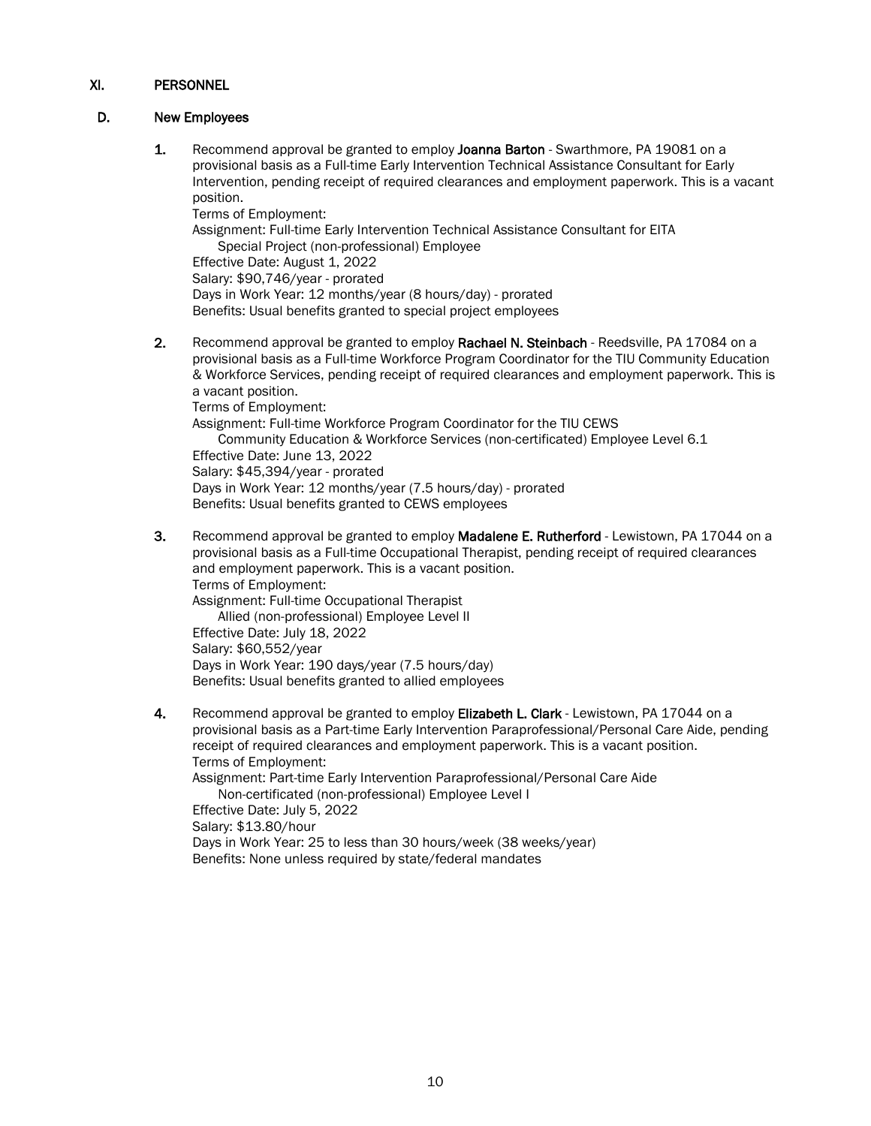# D. New Employees

1. Recommend approval be granted to employ Joanna Barton - Swarthmore, PA 19081 on a provisional basis as a Full-time Early Intervention Technical Assistance Consultant for Early Intervention, pending receipt of required clearances and employment paperwork. This is a vacant position.

Terms of Employment:

Assignment: Full-time Early Intervention Technical Assistance Consultant for EITA Special Project (non-professional) Employee

Effective Date: August 1, 2022

Salary: \$90,746/year - prorated

Days in Work Year: 12 months/year (8 hours/day) - prorated

- Benefits: Usual benefits granted to special project employees
- 2. Recommend approval be granted to employ Rachael N. Steinbach Reedsville, PA 17084 on a provisional basis as a Full-time Workforce Program Coordinator for the TIU Community Education & Workforce Services, pending receipt of required clearances and employment paperwork. This is a vacant position.

Terms of Employment:

Assignment: Full-time Workforce Program Coordinator for the TIU CEWS Community Education & Workforce Services (non-certificated) Employee Level 6.1 Effective Date: June 13, 2022 Salary: \$45,394/year - prorated Days in Work Year: 12 months/year (7.5 hours/day) - prorated Benefits: Usual benefits granted to CEWS employees

3. Recommend approval be granted to employ Madalene E. Rutherford - Lewistown, PA 17044 on a provisional basis as a Full-time Occupational Therapist, pending receipt of required clearances and employment paperwork. This is a vacant position. Terms of Employment: Assignment: Full-time Occupational Therapist Allied (non-professional) Employee Level II

Effective Date: July 18, 2022 Salary: \$60,552/year Days in Work Year: 190 days/year (7.5 hours/day) Benefits: Usual benefits granted to allied employees

4. Recommend approval be granted to employ Elizabeth L. Clark - Lewistown, PA 17044 on a provisional basis as a Part-time Early Intervention Paraprofessional/Personal Care Aide, pending receipt of required clearances and employment paperwork. This is a vacant position. Terms of Employment:

Assignment: Part-time Early Intervention Paraprofessional/Personal Care Aide Non-certificated (non-professional) Employee Level I

Effective Date: July 5, 2022 Salary: \$13.80/hour

Days in Work Year: 25 to less than 30 hours/week (38 weeks/year) Benefits: None unless required by state/federal mandates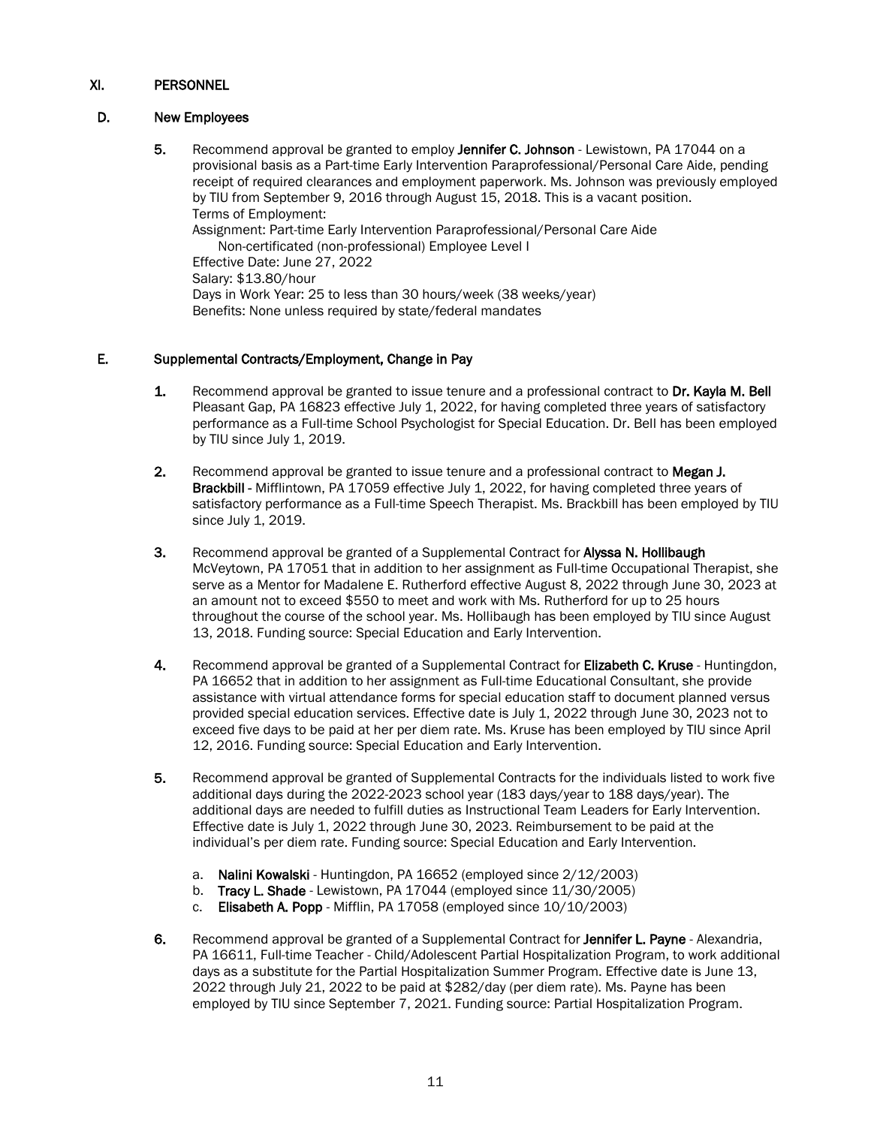# D. New Employees

5. Recommend approval be granted to employ Jennifer C. Johnson - Lewistown, PA 17044 on a provisional basis as a Part-time Early Intervention Paraprofessional/Personal Care Aide, pending receipt of required clearances and employment paperwork. Ms. Johnson was previously employed by TIU from September 9, 2016 through August 15, 2018. This is a vacant position. Terms of Employment: Assignment: Part-time Early Intervention Paraprofessional/Personal Care Aide Non-certificated (non-professional) Employee Level I

Effective Date: June 27, 2022 Salary: \$13.80/hour Days in Work Year: 25 to less than 30 hours/week (38 weeks/year) Benefits: None unless required by state/federal mandates

# E. Supplemental Contracts/Employment, Change in Pay

- 1. Recommend approval be granted to issue tenure and a professional contract to Dr. Kayla M. Bell Pleasant Gap, PA 16823 effective July 1, 2022, for having completed three years of satisfactory performance as a Full-time School Psychologist for Special Education. Dr. Bell has been employed by TIU since July 1, 2019.
- 2. Recommend approval be granted to issue tenure and a professional contract to Megan J. Brackbill - Mifflintown, PA 17059 effective July 1, 2022, for having completed three years of satisfactory performance as a Full-time Speech Therapist. Ms. Brackbill has been employed by TIU since July 1, 2019.
- 3. Recommend approval be granted of a Supplemental Contract for **Alyssa N. Hollibaugh** McVeytown, PA 17051 that in addition to her assignment as Full-time Occupational Therapist, she serve as a Mentor for Madalene E. Rutherford effective August 8, 2022 through June 30, 2023 at an amount not to exceed \$550 to meet and work with Ms. Rutherford for up to 25 hours throughout the course of the school year. Ms. Hollibaugh has been employed by TIU since August 13, 2018. Funding source: Special Education and Early Intervention.
- 4. Recommend approval be granted of a Supplemental Contract for Elizabeth C. Kruse Huntingdon, PA 16652 that in addition to her assignment as Full-time Educational Consultant, she provide assistance with virtual attendance forms for special education staff to document planned versus provided special education services. Effective date is July 1, 2022 through June 30, 2023 not to exceed five days to be paid at her per diem rate. Ms. Kruse has been employed by TIU since April 12, 2016. Funding source: Special Education and Early Intervention.
- 5. Recommend approval be granted of Supplemental Contracts for the individuals listed to work five additional days during the 2022-2023 school year (183 days/year to 188 days/year). The additional days are needed to fulfill duties as Instructional Team Leaders for Early Intervention. Effective date is July 1, 2022 through June 30, 2023. Reimbursement to be paid at the individual's per diem rate. Funding source: Special Education and Early Intervention.
	- a. Nalini Kowalski Huntingdon, PA 16652 (employed since 2/12/2003)
	- b. Tracy L. Shade Lewistown, PA 17044 (employed since 11/30/2005)
	- c. Elisabeth A. Popp Mifflin, PA 17058 (employed since 10/10/2003)
- 6. Recommend approval be granted of a Supplemental Contract for Jennifer L. Payne Alexandria, PA 16611, Full-time Teacher - Child/Adolescent Partial Hospitalization Program, to work additional days as a substitute for the Partial Hospitalization Summer Program. Effective date is June 13, 2022 through July 21, 2022 to be paid at \$282/day (per diem rate). Ms. Payne has been employed by TIU since September 7, 2021. Funding source: Partial Hospitalization Program.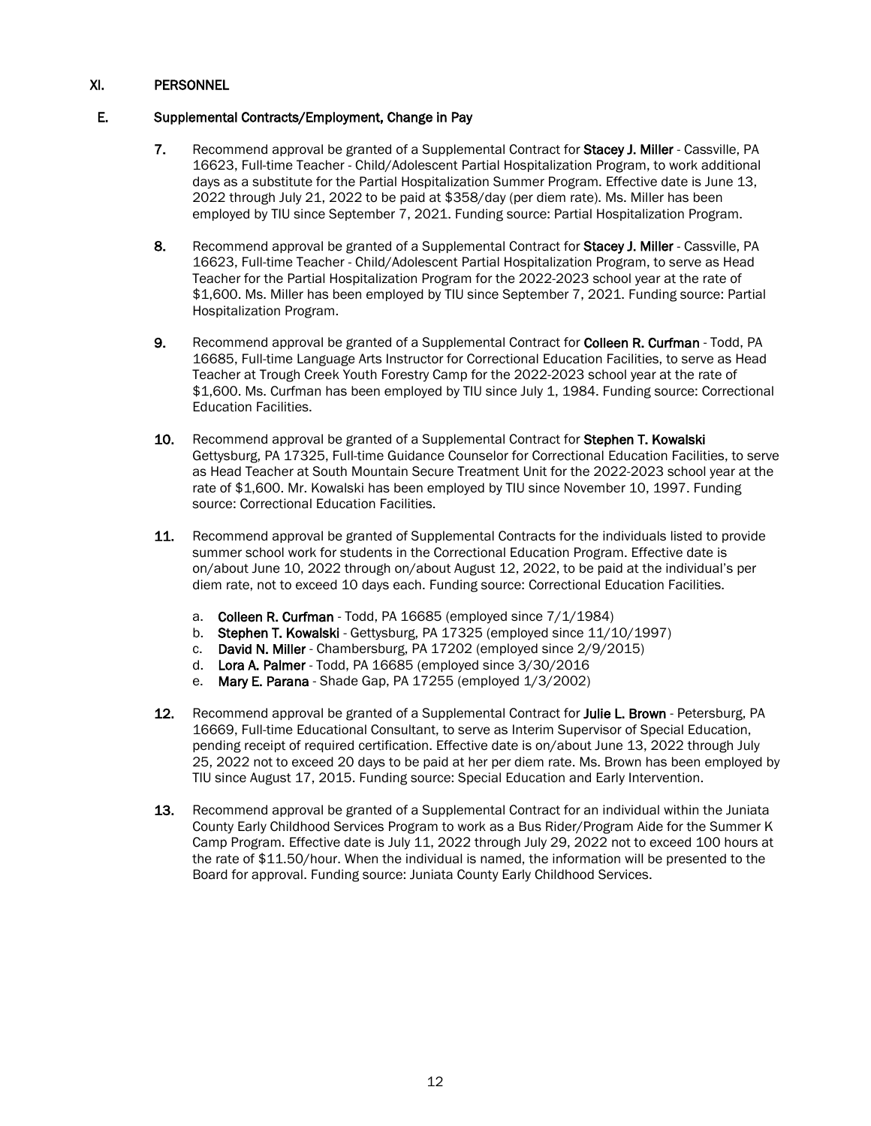# E. Supplemental Contracts/Employment, Change in Pay

- 7. Recommend approval be granted of a Supplemental Contract for Stacey J. Miller Cassville, PA 16623, Full-time Teacher - Child/Adolescent Partial Hospitalization Program, to work additional days as a substitute for the Partial Hospitalization Summer Program. Effective date is June 13, 2022 through July 21, 2022 to be paid at \$358/day (per diem rate). Ms. Miller has been employed by TIU since September 7, 2021. Funding source: Partial Hospitalization Program.
- 8. Recommend approval be granted of a Supplemental Contract for Stacey J. Miller Cassville, PA 16623, Full-time Teacher - Child/Adolescent Partial Hospitalization Program, to serve as Head Teacher for the Partial Hospitalization Program for the 2022-2023 school year at the rate of \$1,600. Ms. Miller has been employed by TIU since September 7, 2021. Funding source: Partial Hospitalization Program.
- 9. Recommend approval be granted of a Supplemental Contract for Colleen R. Curfman Todd, PA 16685, Full-time Language Arts Instructor for Correctional Education Facilities, to serve as Head Teacher at Trough Creek Youth Forestry Camp for the 2022-2023 school year at the rate of \$1,600. Ms. Curfman has been employed by TIU since July 1, 1984. Funding source: Correctional Education Facilities.
- 10. Recommend approval be granted of a Supplemental Contract for Stephen T. Kowalski Gettysburg, PA 17325, Full-time Guidance Counselor for Correctional Education Facilities, to serve as Head Teacher at South Mountain Secure Treatment Unit for the 2022-2023 school year at the rate of \$1,600. Mr. Kowalski has been employed by TIU since November 10, 1997. Funding source: Correctional Education Facilities.
- 11. Recommend approval be granted of Supplemental Contracts for the individuals listed to provide summer school work for students in the Correctional Education Program. Effective date is on/about June 10, 2022 through on/about August 12, 2022, to be paid at the individual's per diem rate, not to exceed 10 days each. Funding source: Correctional Education Facilities.
	- a. Colleen R. Curfman Todd, PA 16685 (employed since 7/1/1984)
	- b. Stephen T. Kowalski Gettysburg, PA 17325 (employed since 11/10/1997)
	- c. David N. Miller Chambersburg, PA 17202 (employed since 2/9/2015)
	- d. Lora A. Palmer Todd, PA 16685 (employed since 3/30/2016
	- e. Mary E. Parana Shade Gap, PA 17255 (employed 1/3/2002)
- 12. Recommend approval be granted of a Supplemental Contract for Julie L. Brown Petersburg, PA 16669, Full-time Educational Consultant, to serve as Interim Supervisor of Special Education, pending receipt of required certification. Effective date is on/about June 13, 2022 through July 25, 2022 not to exceed 20 days to be paid at her per diem rate. Ms. Brown has been employed by TIU since August 17, 2015. Funding source: Special Education and Early Intervention.
- **13.** Recommend approval be granted of a Supplemental Contract for an individual within the Juniata County Early Childhood Services Program to work as a Bus Rider/Program Aide for the Summer K Camp Program. Effective date is July 11, 2022 through July 29, 2022 not to exceed 100 hours at the rate of \$11.50/hour. When the individual is named, the information will be presented to the Board for approval. Funding source: Juniata County Early Childhood Services.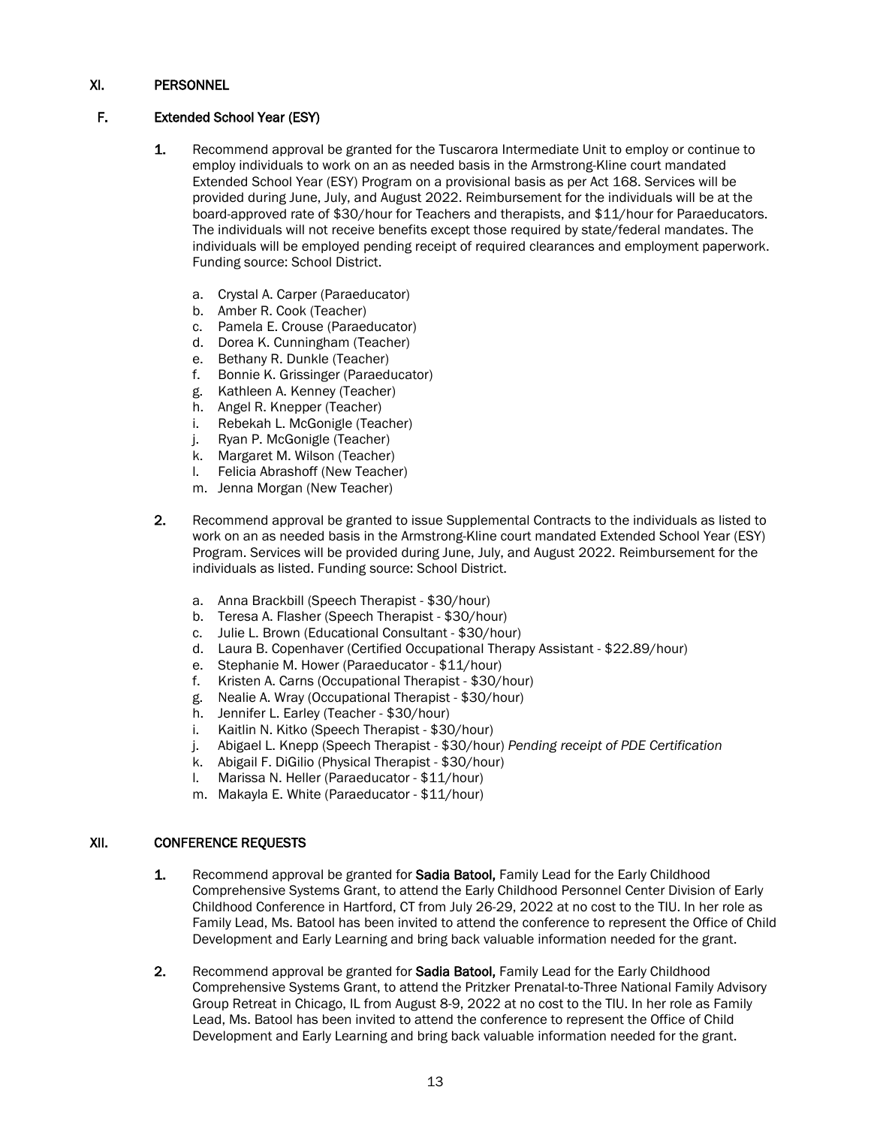# F. Extended School Year (ESY)

- 1. Recommend approval be granted for the Tuscarora Intermediate Unit to employ or continue to employ individuals to work on an as needed basis in the Armstrong-Kline court mandated Extended School Year (ESY) Program on a provisional basis as per Act 168. Services will be provided during June, July, and August 2022. Reimbursement for the individuals will be at the board-approved rate of \$30/hour for Teachers and therapists, and \$11/hour for Paraeducators. The individuals will not receive benefits except those required by state/federal mandates. The individuals will be employed pending receipt of required clearances and employment paperwork. Funding source: School District.
	- a. Crystal A. Carper (Paraeducator)
	- b. Amber R. Cook (Teacher)
	- c. Pamela E. Crouse (Paraeducator)
	- d. Dorea K. Cunningham (Teacher)
	- e. Bethany R. Dunkle (Teacher)
	- f. Bonnie K. Grissinger (Paraeducator)
	- g. Kathleen A. Kenney (Teacher)
	- h. Angel R. Knepper (Teacher)
	- i. Rebekah L. McGonigle (Teacher)
	- j. Ryan P. McGonigle (Teacher)
	- k. Margaret M. Wilson (Teacher)
	- l. Felicia Abrashoff (New Teacher)
	- m. Jenna Morgan (New Teacher)
- 2. Recommend approval be granted to issue Supplemental Contracts to the individuals as listed to work on an as needed basis in the Armstrong-Kline court mandated Extended School Year (ESY) Program. Services will be provided during June, July, and August 2022. Reimbursement for the individuals as listed. Funding source: School District.
	- a. Anna Brackbill (Speech Therapist \$30/hour)
	- b. Teresa A. Flasher (Speech Therapist \$30/hour)
	- c. Julie L. Brown (Educational Consultant \$30/hour)
	- d. Laura B. Copenhaver (Certified Occupational Therapy Assistant \$22.89/hour)
	- e. Stephanie M. Hower (Paraeducator \$11/hour)
	- f. Kristen A. Carns (Occupational Therapist \$30/hour)
	- g. Nealie A. Wray (Occupational Therapist \$30/hour)
	- h. Jennifer L. Earley (Teacher \$30/hour)
	- i. Kaitlin N. Kitko (Speech Therapist \$30/hour)
	- j. Abigael L. Knepp (Speech Therapist \$30/hour) *Pending receipt of PDE Certification*
	- k. Abigail F. DiGilio (Physical Therapist \$30/hour)
	- l. Marissa N. Heller (Paraeducator \$11/hour)
	- m. Makayla E. White (Paraeducator \$11/hour)

### XII. CONFERENCE REQUESTS

- 1. Recommend approval be granted for **Sadia Batool,** Family Lead for the Early Childhood Comprehensive Systems Grant, to attend the Early Childhood Personnel Center Division of Early Childhood Conference in Hartford, CT from July 26-29, 2022 at no cost to the TIU. In her role as Family Lead, Ms. Batool has been invited to attend the conference to represent the Office of Child Development and Early Learning and bring back valuable information needed for the grant.
- 2. Recommend approval be granted for **Sadia Batool,** Family Lead for the Early Childhood Comprehensive Systems Grant, to attend the Pritzker Prenatal-to-Three National Family Advisory Group Retreat in Chicago, IL from August 8-9, 2022 at no cost to the TIU. In her role as Family Lead, Ms. Batool has been invited to attend the conference to represent the Office of Child Development and Early Learning and bring back valuable information needed for the grant.